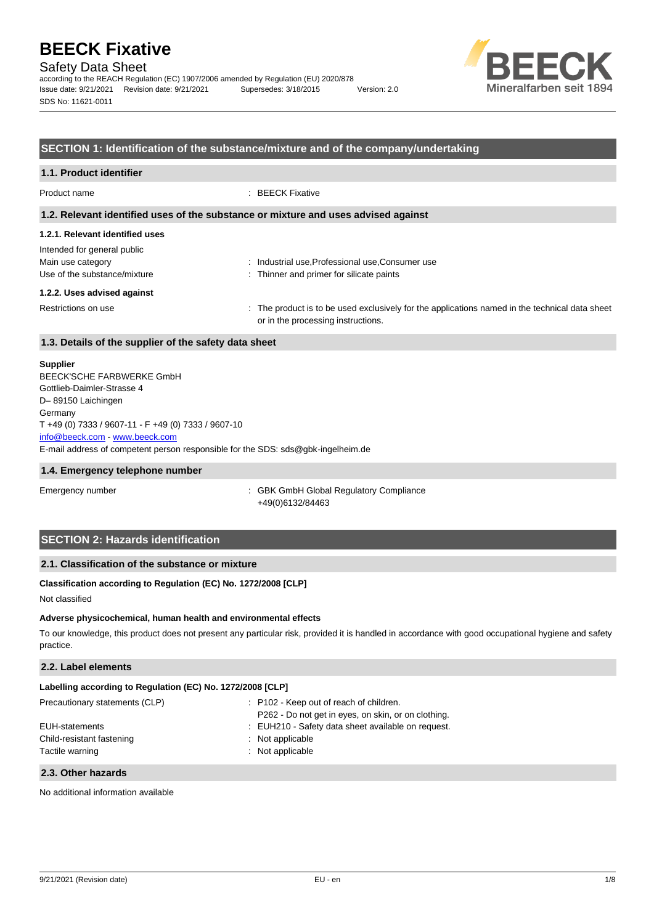Safety Data Sheet

according to the REACH Regulation (EC) 1907/2006 amended by Regulation (EU) 2020/878 Issue date: 9/21/2021 Revision date: 9/21/2021 Supersedes: 3/18/2015 Version: 2.0 SDS No: 11621-0011



#### **SECTION 1: Identification of the substance/mixture and of the company/undertaking**

| 1.1. Product identifier                               |                                                                                                                                      |  |
|-------------------------------------------------------|--------------------------------------------------------------------------------------------------------------------------------------|--|
| Product name                                          | $\therefore$ BEECK Fixative                                                                                                          |  |
|                                                       | 1.2. Relevant identified uses of the substance or mixture and uses advised against                                                   |  |
| 1.2.1. Relevant identified uses                       |                                                                                                                                      |  |
| Intended for general public                           |                                                                                                                                      |  |
| Main use category                                     | : Industrial use, Professional use, Consumer use                                                                                     |  |
| Use of the substance/mixture                          | : Thinner and primer for silicate paints                                                                                             |  |
| 1.2.2. Uses advised against                           |                                                                                                                                      |  |
| Restrictions on use                                   | : The product is to be used exclusively for the applications named in the technical data sheet<br>or in the processing instructions. |  |
| 1.3. Details of the supplier of the safety data sheet |                                                                                                                                      |  |

#### **Supplier**

E-mail address of competent person responsible for the SDS: sds@gbk-ingelheim.de BEECK'SCHE FARBWERKE GmbH Gottlieb-Daimler-Strasse 4 D– 89150 Laichingen **Germany** T +49 (0) 7333 / 9607-11 - F +49 (0) 7333 / 9607-10 [info@beeck.com](mailto:info@beeck.com) - [www.beeck.com](http://www.beeck.com/)

#### **1.4. Emergency telephone number**

Emergency number **Emergency** number **1996** COMERGING COMPLIANCE: GBK GmbH Global Regulatory Compliance +49(0)6132/84463

### **SECTION 2: Hazards identification**

#### **2.1. Classification of the substance or mixture**

#### **Classification according to Regulation (EC) No. 1272/2008 [CLP]**

Not classified

#### **Adverse physicochemical, human health and environmental effects**

To our knowledge, this product does not present any particular risk, provided it is handled in accordance with good occupational hygiene and safety practice.

#### **2.2. Label elements**

| Labelling according to Regulation (EC) No. 1272/2008 [CLP] |                                                                                                |
|------------------------------------------------------------|------------------------------------------------------------------------------------------------|
| Precautionary statements (CLP)                             | : P102 - Keep out of reach of children.<br>P262 - Do not get in eyes, on skin, or on clothing. |
| EUH-statements                                             | : EUH210 - Safety data sheet available on request.                                             |
| Child-resistant fastening<br>Tactile warning               | : Not applicable<br>$:$ Not applicable                                                         |
|                                                            |                                                                                                |

#### **2.3. Other hazards**

No additional information available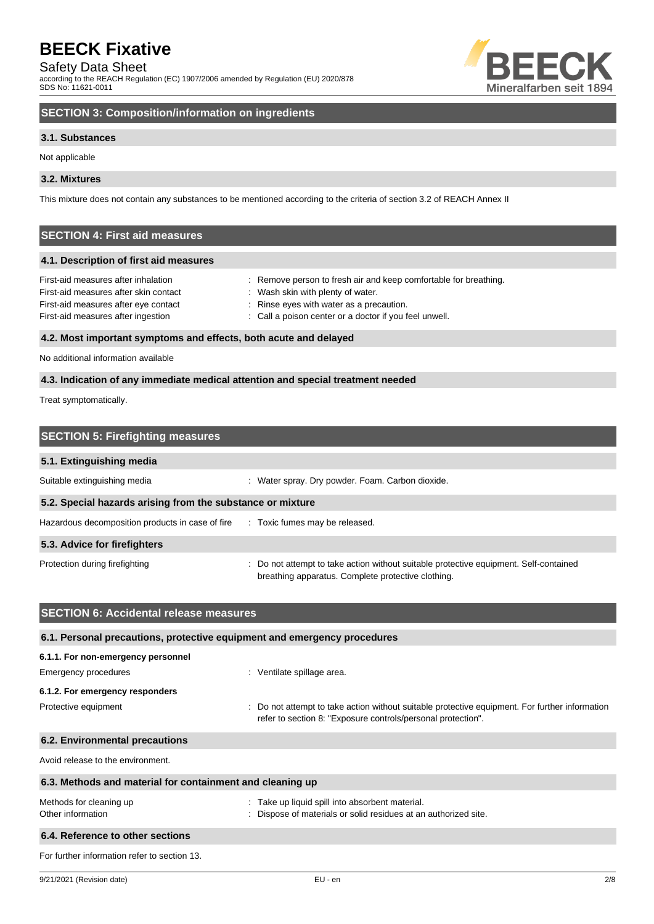### Safety Data Sheet

according to the REACH Regulation (EC) 1907/2006 amended by Regulation (EU) 2020/878 SDS No: 11621-0011



# **SECTION 3: Composition/information on ingredients**

#### **3.1. Substances**

Not applicable

#### **3.2. Mixtures**

This mixture does not contain any substances to be mentioned according to the criteria of section 3.2 of REACH Annex II

# **SECTION 4: First aid measures**

#### **4.1. Description of first aid measures**

| First-aid measures after inhalation   | : Remove person to fresh air and keep comfortable for breathing. |
|---------------------------------------|------------------------------------------------------------------|
| First-aid measures after skin contact | Wash skin with plenty of water.                                  |
| First-aid measures after eye contact  | : Rinse eyes with water as a precaution.                         |
| First-aid measures after ingestion    | : Call a poison center or a doctor if you feel unwell.           |
|                                       |                                                                  |

#### **4.2. Most important symptoms and effects, both acute and delayed**

No additional information available

#### **4.3. Indication of any immediate medical attention and special treatment needed**

Treat symptomatically.

| <b>SECTION 5: Firefighting measures</b>                    |                                                                                                                                             |  |  |
|------------------------------------------------------------|---------------------------------------------------------------------------------------------------------------------------------------------|--|--|
| 5.1. Extinguishing media                                   |                                                                                                                                             |  |  |
| Suitable extinguishing media                               | : Water spray. Dry powder. Foam. Carbon dioxide.                                                                                            |  |  |
| 5.2. Special hazards arising from the substance or mixture |                                                                                                                                             |  |  |
| Hazardous decomposition products in case of fire           | : Toxic fumes may be released.                                                                                                              |  |  |
| 5.3. Advice for firefighters                               |                                                                                                                                             |  |  |
| Protection during firefighting                             | : Do not attempt to take action without suitable protective equipment. Self-contained<br>breathing apparatus. Complete protective clothing. |  |  |

| <b>SECTION 6: Accidental release measures</b>                            |                                                                                                                                                                |  |  |
|--------------------------------------------------------------------------|----------------------------------------------------------------------------------------------------------------------------------------------------------------|--|--|
| 6.1. Personal precautions, protective equipment and emergency procedures |                                                                                                                                                                |  |  |
| 6.1.1. For non-emergency personnel                                       |                                                                                                                                                                |  |  |
| Emergency procedures                                                     | : Ventilate spillage area.                                                                                                                                     |  |  |
| 6.1.2. For emergency responders                                          |                                                                                                                                                                |  |  |
| Protective equipment                                                     | : Do not attempt to take action without suitable protective equipment. For further information<br>refer to section 8: "Exposure controls/personal protection". |  |  |
| 6.2. Environmental precautions                                           |                                                                                                                                                                |  |  |
| Avoid release to the environment.                                        |                                                                                                                                                                |  |  |
| 6.3. Methods and material for containment and cleaning up                |                                                                                                                                                                |  |  |
| Methods for cleaning up<br>Other information                             | : Take up liquid spill into absorbent material.<br>Dispose of materials or solid residues at an authorized site.                                               |  |  |
| 6.4. Reference to other sections                                         |                                                                                                                                                                |  |  |
| For further information refer to section 13.                             |                                                                                                                                                                |  |  |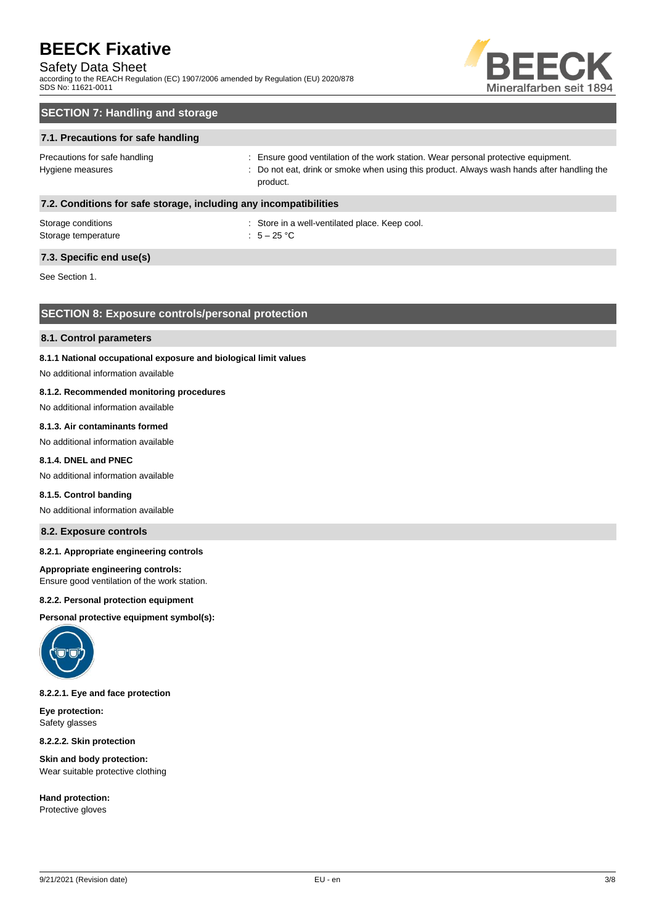### Safety Data Sheet

according to the REACH Regulation (EC) 1907/2006 amended by Regulation (EU) 2020/878 SDS No: 11621-0011



# **SECTION 7: Handling and storage**

#### **7.1. Precautions for safe handling**

Precautions for safe handling state is ensure good ventilation of the work station. Wear personal protective equipment. Hygiene measures states of the state of the control of the cat, drink or smoke when using this product. Always wash hands after handling the product.

#### **7.2. Conditions for safe storage, including any incompatibilities**

| Storage conditions  | : Store in a |
|---------------------|--------------|
| Storage temperature | : $5-25$ °C  |

: Store in a well-ventilated place. Keep cool.

### **7.3. Specific end use(s)**

See Section 1.

### **SECTION 8: Exposure controls/personal protection**

#### **8.1. Control parameters**

#### **8.1.1 National occupational exposure and biological limit values**

No additional information available

#### **8.1.2. Recommended monitoring procedures**

No additional information available

#### **8.1.3. Air contaminants formed**

No additional information available

#### **8.1.4. DNEL and PNEC**

No additional information available

#### **8.1.5. Control banding**

No additional information available

#### **8.2. Exposure controls**

#### **8.2.1. Appropriate engineering controls**

#### **Appropriate engineering controls:**

Ensure good ventilation of the work station.

#### **8.2.2. Personal protection equipment**

**Personal protective equipment symbol(s):**



#### **8.2.2.1. Eye and face protection**

**Eye protection:** Safety glasses

**8.2.2.2. Skin protection**

**Skin and body protection:** Wear suitable protective clothing

**Hand protection:** Protective gloves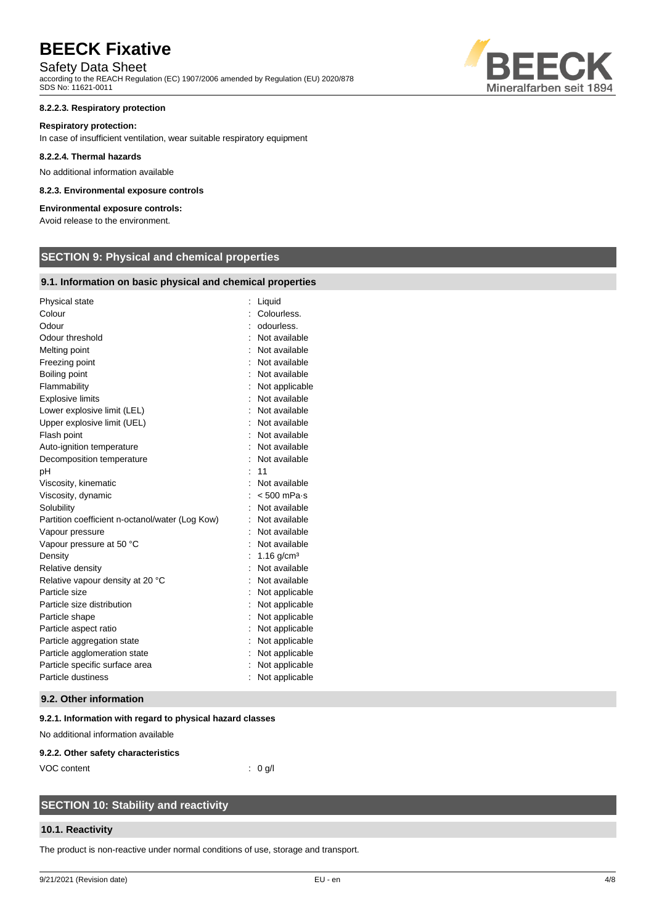# Safety Data Sheet

according to the REACH Regulation (EC) 1907/2006 amended by Regulation (EU) 2020/878 SDS No: 11621-0011

#### **8.2.2.3. Respiratory protection**

#### **Respiratory protection:**

In case of insufficient ventilation, wear suitable respiratory equipment

#### **8.2.2.4. Thermal hazards**

No additional information available

#### **8.2.3. Environmental exposure controls**

#### **Environmental exposure controls:**

Avoid release to the environment.

# **SECTION 9: Physical and chemical properties**

#### **9.1. Information on basic physical and chemical properties**

| Physical state                                  | Liquid                   |
|-------------------------------------------------|--------------------------|
| Colour                                          | Colourless.              |
| Odour                                           | odourless.               |
| Odour threshold                                 | Not available            |
| Melting point                                   | Not available            |
| Freezing point                                  | Not available            |
| Boiling point                                   | Not available            |
| Flammability                                    | Not applicable           |
| <b>Explosive limits</b>                         | Not available            |
| Lower explosive limit (LEL)                     | Not available            |
| Upper explosive limit (UEL)                     | Not available            |
| Flash point                                     | Not available            |
| Auto-ignition temperature                       | Not available            |
| Decomposition temperature                       | Not available            |
| рH                                              | 11                       |
| Viscosity, kinematic                            | Not available            |
| Viscosity, dynamic                              | $< 500$ mPa $\cdot$ s    |
| Solubility                                      | Not available            |
| Partition coefficient n-octanol/water (Log Kow) | Not available            |
| Vapour pressure                                 | Not available            |
| Vapour pressure at 50 °C                        | Not available            |
| Density                                         | $1.16$ g/cm <sup>3</sup> |
| Relative density                                | Not available            |
| Relative vapour density at 20 °C                | Not available            |
| Particle size                                   | Not applicable           |
| Particle size distribution                      | Not applicable           |
| Particle shape                                  | Not applicable           |
| Particle aspect ratio                           | Not applicable           |
| Particle aggregation state                      | Not applicable           |
| Particle agglomeration state                    | Not applicable           |
| Particle specific surface area                  | Not applicable           |
| Particle dustiness                              | Not applicable           |

#### **9.2. Other information**

#### **9.2.1. Information with regard to physical hazard classes**

No additional information available

#### **9.2.2. Other safety characteristics**

VOC content : 0 g/l

# **SECTION 10: Stability and reactivity**

#### **10.1. Reactivity**

The product is non-reactive under normal conditions of use, storage and transport.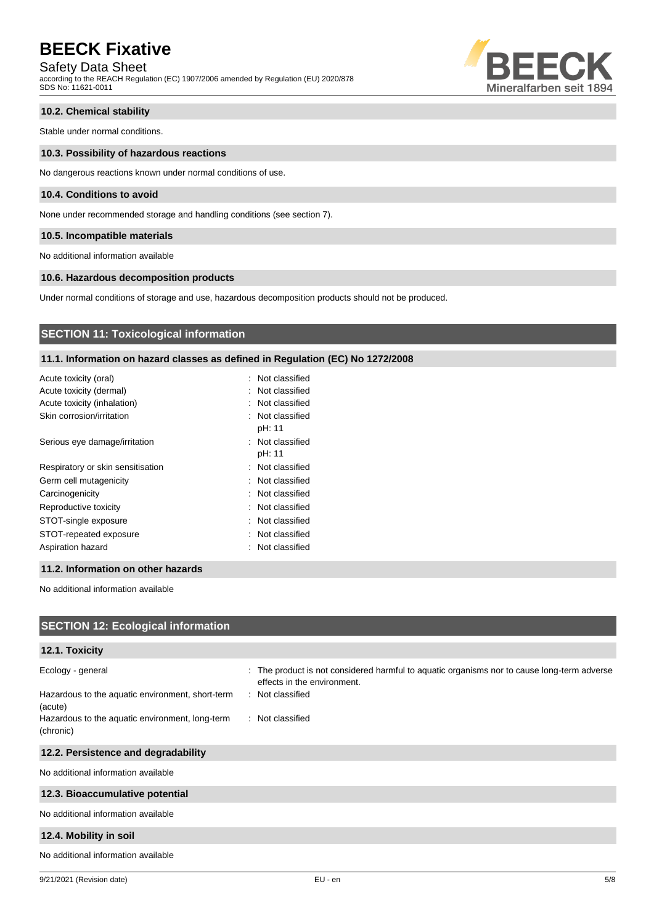### Safety Data Sheet

according to the REACH Regulation (EC) 1907/2006 amended by Regulation (EU) 2020/878 SDS No: 11621-0011



### **10.2. Chemical stability**

Stable under normal conditions.

#### **10.3. Possibility of hazardous reactions**

No dangerous reactions known under normal conditions of use.

#### **10.4. Conditions to avoid**

None under recommended storage and handling conditions (see section 7).

#### **10.5. Incompatible materials**

No additional information available

#### **10.6. Hazardous decomposition products**

Under normal conditions of storage and use, hazardous decomposition products should not be produced.

## **SECTION 11: Toxicological information**

#### **11.1. Information on hazard classes as defined in Regulation (EC) No 1272/2008**

| Acute toxicity (oral)             | : Not classified           |
|-----------------------------------|----------------------------|
| Acute toxicity (dermal)           | : Not classified           |
| Acute toxicity (inhalation)       | : Not classified           |
| Skin corrosion/irritation         | : Not classified<br>pH: 11 |
| Serious eye damage/irritation     | : Not classified<br>pH: 11 |
| Respiratory or skin sensitisation | : Not classified           |
| Germ cell mutagenicity            | : Not classified           |
| Carcinogenicity                   | : Not classified           |
| Reproductive toxicity             | : Not classified           |
| STOT-single exposure              | Not classified             |
| STOT-repeated exposure            | : Not classified           |
| Aspiration hazard                 | : Not classified           |
|                                   |                            |

#### **11.2. Information on other hazards**

No additional information available

| <b>SECTION 12: Ecological information</b>                    |                                                                                                                            |
|--------------------------------------------------------------|----------------------------------------------------------------------------------------------------------------------------|
| 12.1. Toxicity                                               |                                                                                                                            |
| Ecology - general                                            | : The product is not considered harmful to aquatic organisms nor to cause long-term adverse<br>effects in the environment. |
| Hazardous to the aquatic environment, short-term<br>(acute)  | : Not classified                                                                                                           |
| Hazardous to the aquatic environment, long-term<br>(chronic) | : Not classified                                                                                                           |
| 12.2. Persistence and degradability                          |                                                                                                                            |
| No additional information available                          |                                                                                                                            |
| 12.3. Bioaccumulative potential                              |                                                                                                                            |
| No additional information available                          |                                                                                                                            |
| 12.4. Mobility in soil                                       |                                                                                                                            |
| No additional information available                          |                                                                                                                            |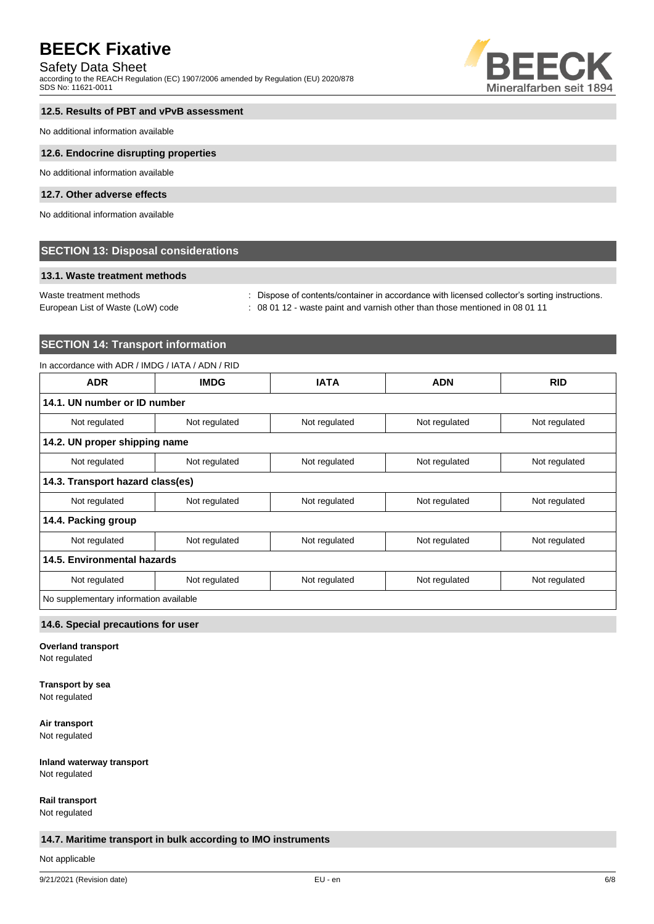### Safety Data Sheet

according to the REACH Regulation (EC) 1907/2006 amended by Regulation (EU) 2020/878 SDS No: 11621-0011



#### **12.5. Results of PBT and vPvB assessment**

No additional information available

#### **12.6. Endocrine disrupting properties**

No additional information available

#### **12.7. Other adverse effects**

No additional information available

### **SECTION 13: Disposal considerations**

#### **13.1. Waste treatment methods**

European List of Waste (LoW) code : 08 01 12 - waste paint and varnish other than those mentioned in 08 01 11

Waste treatment methods : Dispose of contents/container in accordance with licensed collector's sorting instructions.

# **SECTION 14: Transport information**

#### In accordance with ADR / IMDG / IATA / ADN / RID

| <b>ADR</b>                             | <b>IMDG</b>   | <b>IATA</b>   | <b>ADN</b>    | <b>RID</b>    |
|----------------------------------------|---------------|---------------|---------------|---------------|
| 14.1. UN number or ID number           |               |               |               |               |
| Not regulated                          | Not regulated | Not regulated | Not regulated | Not regulated |
| 14.2. UN proper shipping name          |               |               |               |               |
| Not regulated                          | Not regulated | Not regulated | Not regulated | Not regulated |
| 14.3. Transport hazard class(es)       |               |               |               |               |
| Not regulated                          | Not regulated | Not regulated | Not regulated | Not regulated |
| 14.4. Packing group                    |               |               |               |               |
| Not regulated                          | Not regulated | Not regulated | Not regulated | Not regulated |
| 14.5. Environmental hazards            |               |               |               |               |
| Not regulated                          | Not regulated | Not regulated | Not regulated | Not regulated |
| No supplementary information available |               |               |               |               |

#### **14.6. Special precautions for user**

**Overland transport**

Not regulated

# **Transport by sea**

Not regulated

# **Air transport**

Not regulated

# **Inland waterway transport**

Not regulated

# **Rail transport**

Not regulated

### **14.7. Maritime transport in bulk according to IMO instruments**

Not applicable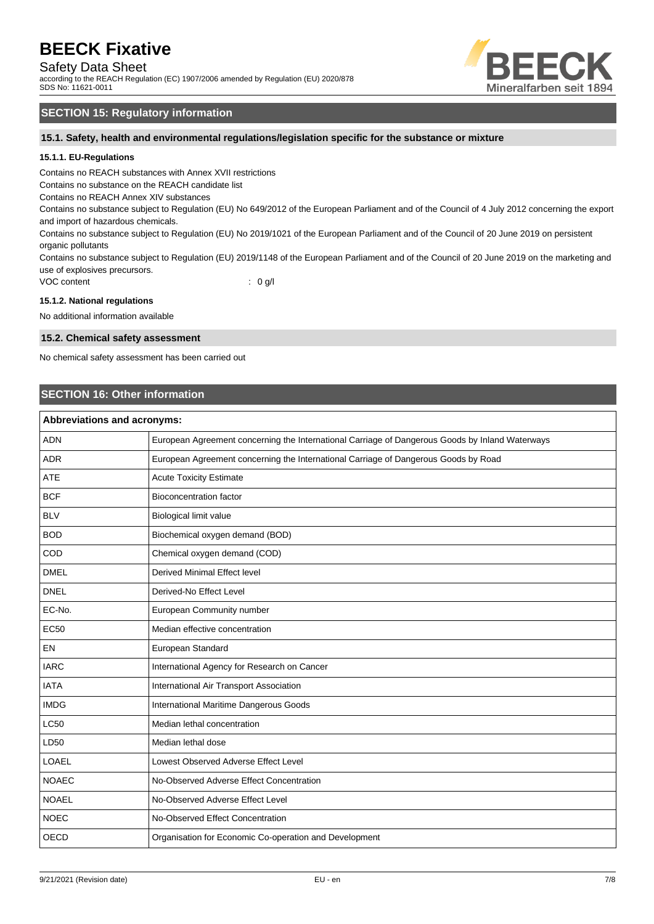### Safety Data Sheet

according to the REACH Regulation (EC) 1907/2006 amended by Regulation (EU) 2020/878 SDS No: 11621-0011



# **SECTION 15: Regulatory information**

**15.1. Safety, health and environmental regulations/legislation specific for the substance or mixture**

#### **15.1.1. EU-Regulations**

Contains no REACH substances with Annex XVII restrictions

Contains no substance on the REACH candidate list

Contains no REACH Annex XIV substances

Contains no substance subject to Regulation (EU) No 649/2012 of the European Parliament and of the Council of 4 July 2012 concerning the export and import of hazardous chemicals.

Contains no substance subject to Regulation (EU) No 2019/1021 of the European Parliament and of the Council of 20 June 2019 on persistent organic pollutants

Contains no substance subject to Regulation (EU) 2019/1148 of the European Parliament and of the Council of 20 June 2019 on the marketing and use of explosives precursors.

VOC content : 0 g/l

#### **15.1.2. National regulations**

No additional information available

#### **15.2. Chemical safety assessment**

No chemical safety assessment has been carried out

### **SECTION 16: Other information**

| Abbreviations and acronyms: |                                                                                                 |  |
|-----------------------------|-------------------------------------------------------------------------------------------------|--|
| <b>ADN</b>                  | European Agreement concerning the International Carriage of Dangerous Goods by Inland Waterways |  |
| <b>ADR</b>                  | European Agreement concerning the International Carriage of Dangerous Goods by Road             |  |
| <b>ATE</b>                  | <b>Acute Toxicity Estimate</b>                                                                  |  |
| <b>BCF</b>                  | <b>Bioconcentration factor</b>                                                                  |  |
| <b>BLV</b>                  | <b>Biological limit value</b>                                                                   |  |
| <b>BOD</b>                  | Biochemical oxygen demand (BOD)                                                                 |  |
| COD                         | Chemical oxygen demand (COD)                                                                    |  |
| <b>DMEL</b>                 | <b>Derived Minimal Effect level</b>                                                             |  |
| <b>DNEL</b>                 | Derived-No Effect Level                                                                         |  |
| EC-No.                      | European Community number                                                                       |  |
| <b>EC50</b>                 | Median effective concentration                                                                  |  |
| EN                          | European Standard                                                                               |  |
| <b>IARC</b>                 | International Agency for Research on Cancer                                                     |  |
| <b>IATA</b>                 | International Air Transport Association                                                         |  |
| <b>IMDG</b>                 | International Maritime Dangerous Goods                                                          |  |
| <b>LC50</b>                 | Median lethal concentration                                                                     |  |
| LD50                        | Median lethal dose                                                                              |  |
| LOAEL                       | Lowest Observed Adverse Effect Level                                                            |  |
| <b>NOAEC</b>                | No-Observed Adverse Effect Concentration                                                        |  |
| <b>NOAEL</b>                | No-Observed Adverse Effect Level                                                                |  |
| <b>NOEC</b>                 | No-Observed Effect Concentration                                                                |  |
| <b>OECD</b>                 | Organisation for Economic Co-operation and Development                                          |  |